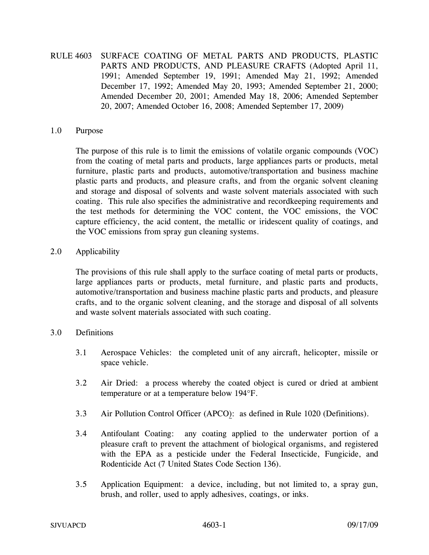# RULE 4603 SURFACE COATING OF METAL PARTS AND PRODUCTS, PLASTIC PARTS AND PRODUCTS, AND PLEASURE CRAFTS (Adopted April 11, 1991; Amended September 19, 1991; Amended May 21, 1992; Amended December 17, 1992; Amended May 20, 1993; Amended September 21, 2000; Amended December 20, 2001; Amended May 18, 2006; Amended September 20, 2007; Amended October 16, 2008; Amended September 17, 2009)

#### 1.0 Purpose

The purpose of this rule is to limit the emissions of volatile organic compounds (VOC) from the coating of metal parts and products, large appliances parts or products, metal furniture, plastic parts and products, automotive/transportation and business machine plastic parts and products, and pleasure crafts, and from the organic solvent cleaning and storage and disposal of solvents and waste solvent materials associated with such coating. This rule also specifies the administrative and recordkeeping requirements and the test methods for determining the VOC content, the VOC emissions, the VOC capture efficiency, the acid content, the metallic or iridescent quality of coatings, and the VOC emissions from spray gun cleaning systems.

## 2.0 Applicability

The provisions of this rule shall apply to the surface coating of metal parts or products, large appliances parts or products, metal furniture, and plastic parts and products, automotive/transportation and business machine plastic parts and products, and pleasure crafts, and to the organic solvent cleaning, and the storage and disposal of all solvents and waste solvent materials associated with such coating.

### 3.0 Definitions

- 3.1 Aerospace Vehicles: the completed unit of any aircraft, helicopter, missile or space vehicle.
- 3.2 Air Dried: a process whereby the coated object is cured or dried at ambient temperature or at a temperature below 194°F.
- 3.3 Air Pollution Control Officer (APCO): as defined in Rule 1020 (Definitions).
- 3.4 Antifoulant Coating: any coating applied to the underwater portion of a pleasure craft to prevent the attachment of biological organisms, and registered with the EPA as a pesticide under the Federal Insecticide, Fungicide, and Rodenticide Act (7 United States Code Section 136).
- 3.5 Application Equipment: a device, including, but not limited to, a spray gun, brush, and roller, used to apply adhesives, coatings, or inks.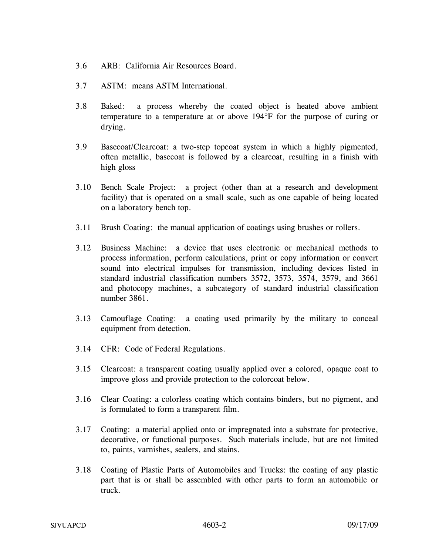- 3.6 ARB: California Air Resources Board.
- 3.7 ASTM: means ASTM International.
- 3.8 Baked: a process whereby the coated object is heated above ambient temperature to a temperature at or above 194°F for the purpose of curing or drying.
- 3.9 Basecoat/Clearcoat: a two-step topcoat system in which a highly pigmented, often metallic, basecoat is followed by a clearcoat, resulting in a finish with high gloss
- 3.10 Bench Scale Project: a project (other than at a research and development facility) that is operated on a small scale, such as one capable of being located on a laboratory bench top.
- 3.11 Brush Coating: the manual application of coatings using brushes or rollers.
- 3.12 Business Machine: a device that uses electronic or mechanical methods to process information, perform calculations, print or copy information or convert sound into electrical impulses for transmission, including devices listed in standard industrial classification numbers 3572, 3573, 3574, 3579, and 3661 and photocopy machines, a subcategory of standard industrial classification number 3861.
- 3.13 Camouflage Coating: a coating used primarily by the military to conceal equipment from detection.
- 3.14 CFR: Code of Federal Regulations.
- 3.15 Clearcoat: a transparent coating usually applied over a colored, opaque coat to improve gloss and provide protection to the colorcoat below.
- 3.16 Clear Coating: a colorless coating which contains binders, but no pigment, and is formulated to form a transparent film.
- 3.17 Coating: a material applied onto or impregnated into a substrate for protective, decorative, or functional purposes. Such materials include, but are not limited to, paints, varnishes, sealers, and stains.
- 3.18 Coating of Plastic Parts of Automobiles and Trucks: the coating of any plastic part that is or shall be assembled with other parts to form an automobile or truck.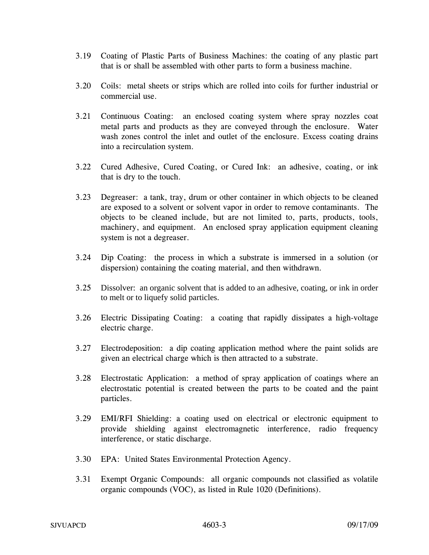- 3.19 Coating of Plastic Parts of Business Machines: the coating of any plastic part that is or shall be assembled with other parts to form a business machine.
- 3.20 Coils: metal sheets or strips which are rolled into coils for further industrial or commercial use.
- 3.21 Continuous Coating: an enclosed coating system where spray nozzles coat metal parts and products as they are conveyed through the enclosure. Water wash zones control the inlet and outlet of the enclosure. Excess coating drains into a recirculation system.
- 3.22 Cured Adhesive, Cured Coating, or Cured Ink: an adhesive, coating, or ink that is dry to the touch.
- 3.23 Degreaser: a tank, tray, drum or other container in which objects to be cleaned are exposed to a solvent or solvent vapor in order to remove contaminants. The objects to be cleaned include, but are not limited to, parts, products, tools, machinery, and equipment. An enclosed spray application equipment cleaning system is not a degreaser.
- 3.24 Dip Coating: the process in which a substrate is immersed in a solution (or dispersion) containing the coating material, and then withdrawn.
- 3.25 Dissolver: an organic solvent that is added to an adhesive, coating, or ink in order to melt or to liquefy solid particles.
- 3.26 Electric Dissipating Coating: a coating that rapidly dissipates a high-voltage electric charge.
- 3.27 Electrodeposition: a dip coating application method where the paint solids are given an electrical charge which is then attracted to a substrate.
- 3.28 Electrostatic Application: a method of spray application of coatings where an electrostatic potential is created between the parts to be coated and the paint particles.
- 3.29 EMI/RFI Shielding: a coating used on electrical or electronic equipment to provide shielding against electromagnetic interference, radio frequency interference, or static discharge.
- 3.30 EPA: United States Environmental Protection Agency.
- 3.31 Exempt Organic Compounds: all organic compounds not classified as volatile organic compounds (VOC), as listed in Rule 1020 (Definitions).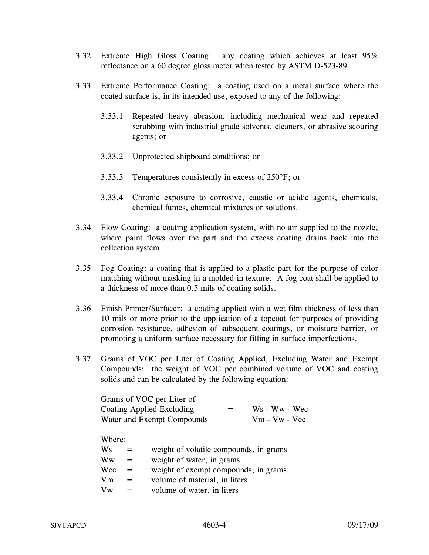- 3.32 Extreme High Gloss Coating: any coating which achieves at least 95% reflectance on a 60 degree gloss meter when tested by ASTM D-523-89.
- 3.33 Extreme Performance Coating: a coating used on a metal surface where the coated surface is, in its intended use, exposed to any of the following:
	- 3.33.1 Repeated heavy abrasion, including mechanical wear and repeated scrubbing with industrial grade solvents, cleaners, or abrasive scouring agents; or
	- 3.33.2 Unprotected shipboard conditions; or
	- 3.33.3 Temperatures consistently in excess of 250°F; or
	- 3.33.4 Chronic exposure to corrosive, caustic or acidic agents, chemicals, chemical fumes, chemical mixtures or solutions.
- 3.34 Flow Coating: a coating application system, with no air supplied to the nozzle, where paint flows over the part and the excess coating drains back into the collection system.
- 3.35 Fog Coating: a coating that is applied to a plastic part for the purpose of color matching without masking in a molded-in texture. A fog coat shall be applied to a thickness of more than 0.5 mils of coating solids.
- 3.36 Finish Primer/Surfacer: a coating applied with a wet film thickness of less than 10 mils or more prior to the application of a topcoat for purposes of providing corrosion resistance, adhesion of subsequent coatings, or moisture barrier, or promoting a uniform surface necessary for filling in surface imperfections.
- 3.37 Grams of VOC per Liter of Coating Applied, Excluding Water and Exempt Compounds: the weight of VOC per combined volume of VOC and coating solids and can be calculated by the following equation:

| Grams of VOC per Liter of  |     |                 |
|----------------------------|-----|-----------------|
| Coating Applied Excluding  | $=$ | $Ws - Ww - Wec$ |
| Water and Exempt Compounds |     | $Vm - Vw - Vec$ |

Where:

| weight of volatile compounds, in grams |
|----------------------------------------|
|                                        |
| weight of exempt compounds, in grams   |
|                                        |
|                                        |
|                                        |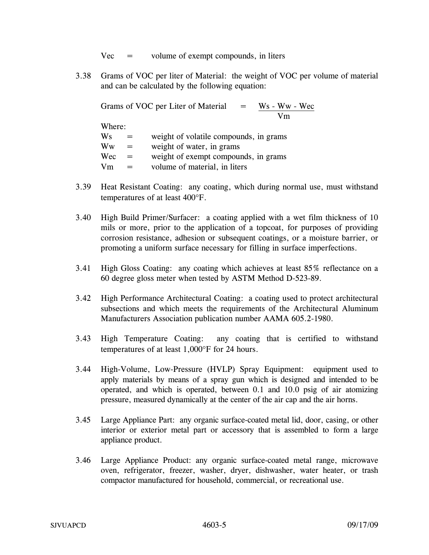$Vec =$  volume of exempt compounds, in liters

3.38 Grams of VOC per liter of Material: the weight of VOC per volume of material and can be calculated by the following equation:

Grams of VOC per Liter of Material Ws - Ww - Wec<br>Vm Where:  $Ws$  = weight of volatile compounds, in grams  $\mathbf{W}\mathbf{w} = \mathbf{w} \mathbf{w}$  = weight of water, in grams  $Wec =$  weight of exempt compounds, in grams  $Vm = volume of material, in liters$ 

- 3.39 Heat Resistant Coating: any coating, which during normal use, must withstand temperatures of at least 400°F.
- 3.40 High Build Primer/Surfacer: a coating applied with a wet film thickness of 10 mils or more, prior to the application of a topcoat, for purposes of providing corrosion resistance, adhesion or subsequent coatings, or a moisture barrier, or promoting a uniform surface necessary for filling in surface imperfections.
- 3.41 High Gloss Coating: any coating which achieves at least 85% reflectance on a 60 degree gloss meter when tested by ASTM Method D-523-89.
- 3.42 High Performance Architectural Coating: a coating used to protect architectural subsections and which meets the requirements of the Architectural Aluminum Manufacturers Association publication number AAMA 605.2-1980.
- 3.43 High Temperature Coating: any coating that is certified to withstand temperatures of at least 1,000°F for 24 hours.
- 3.44 High-Volume, Low-Pressure (HVLP) Spray Equipment: equipment used to apply materials by means of a spray gun which is designed and intended to be operated, and which is operated, between 0.1 and 10.0 psig of air atomizing pressure, measured dynamically at the center of the air cap and the air horns.
- 3.45 Large Appliance Part: any organic surface-coated metal lid, door, casing, or other interior or exterior metal part or accessory that is assembled to form a large appliance product.
- 3.46 Large Appliance Product: any organic surface-coated metal range, microwave oven, refrigerator, freezer, washer, dryer, dishwasher, water heater, or trash compactor manufactured for household, commercial, or recreational use.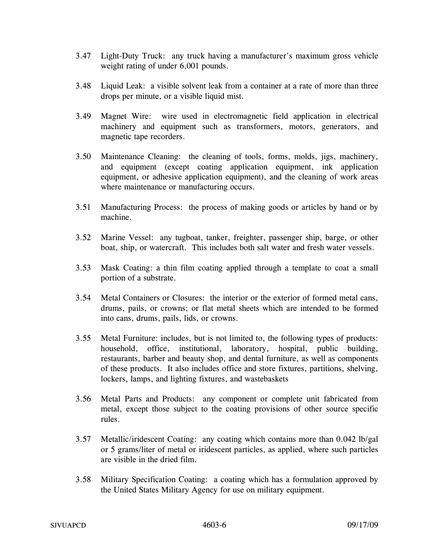- 3.47 Light-Duty Truck: any truck having a manufacturer's maximum gross vehicle weight rating of under 6,001 pounds.
- 3.48 Liquid Leak: a visible solvent leak from a container at a rate of more than three drops per minute, or a visible liquid mist.
- 3.49 Magnet Wire: wire used in electromagnetic field application in electrical machinery and equipment such as transformers, motors, generators, and magnetic tape recorders.
- 3.50 Maintenance Cleaning: the cleaning of tools, forms, molds, jigs, machinery, and equipment (except coating application equipment, ink application equipment, or adhesive application equipment), and the cleaning of work areas where maintenance or manufacturing occurs.
- 3.51 Manufacturing Process: the process of making goods or articles by hand or by machine.
- 3.52 Marine Vessel: any tugboat, tanker, freighter, passenger ship, barge, or other boat, ship, or watercraft. This includes both salt water and fresh water vessels.
- 3.53 Mask Coating: a thin film coating applied through a template to coat a small portion of a substrate.
- 3.54 Metal Containers or Closures: the interior or the exterior of formed metal cans, drums, pails, or crowns; or flat metal sheets which are intended to be formed into cans, drums, pails, lids, or crowns.
- 3.55 Metal Furniture: includes, but is not limited to, the following types of products: household, office, institutional, laboratory, hospital, public building, restaurants, barber and beauty shop, and dental furniture, as well as components of these products. It also includes office and store fixtures, partitions, shelving, lockers, lamps, and lighting fixtures, and wastebaskets
- 3.56 Metal Parts and Products: any component or complete unit fabricated from metal, except those subject to the coating provisions of other source specific rules.
- 3.57 Metallic/iridescent Coating: any coating which contains more than 0.042 lb/gal or 5 grams/liter of metal or iridescent particles, as applied, where such particles are visible in the dried film.
- 3.58 Military Specification Coating: a coating which has a formulation approved by the United States Military Agency for use on military equipment.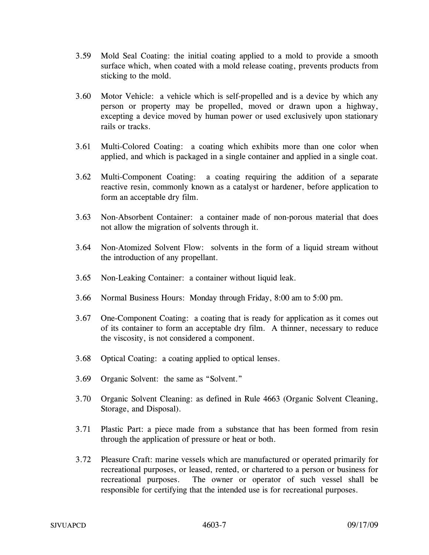- 3.59 Mold Seal Coating: the initial coating applied to a mold to provide a smooth surface which, when coated with a mold release coating, prevents products from sticking to the mold.
- 3.60 Motor Vehicle: a vehicle which is self-propelled and is a device by which any person or property may be propelled, moved or drawn upon a highway, excepting a device moved by human power or used exclusively upon stationary rails or tracks.
- 3.61 Multi-Colored Coating: a coating which exhibits more than one color when applied, and which is packaged in a single container and applied in a single coat.
- 3.62 Multi-Component Coating: a coating requiring the addition of a separate reactive resin, commonly known as a catalyst or hardener, before application to form an acceptable dry film.
- 3.63 Non-Absorbent Container: a container made of non-porous material that does not allow the migration of solvents through it.
- 3.64 Non-Atomized Solvent Flow: solvents in the form of a liquid stream without the introduction of any propellant.
- 3.65 Non-Leaking Container: a container without liquid leak.
- 3.66 Normal Business Hours: Monday through Friday, 8:00 am to 5:00 pm.
- 3.67 One-Component Coating: a coating that is ready for application as it comes out of its container to form an acceptable dry film. A thinner, necessary to reduce the viscosity, is not considered a component.
- 3.68 Optical Coating: a coating applied to optical lenses.
- 3.69 Organic Solvent: the same as "Solvent."
- 3.70 Organic Solvent Cleaning: as defined in Rule 4663 (Organic Solvent Cleaning, Storage, and Disposal).
- 3.71 Plastic Part: a piece made from a substance that has been formed from resin through the application of pressure or heat or both.
- 3.72 Pleasure Craft: marine vessels which are manufactured or operated primarily for recreational purposes, or leased, rented, or chartered to a person or business for recreational purposes. The owner or operator of such vessel shall be responsible for certifying that the intended use is for recreational purposes.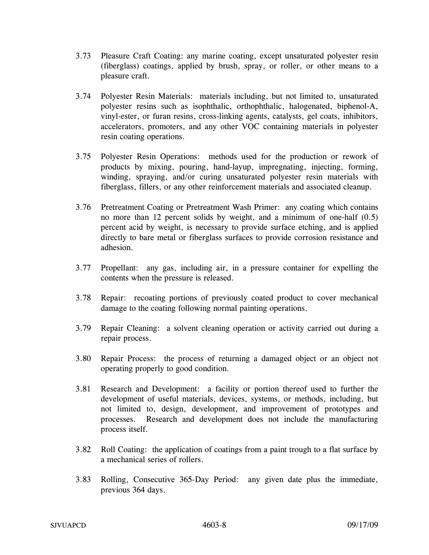- 3.73 Pleasure Craft Coating: any marine coating, except unsaturated polyester resin (fiberglass) coatings, applied by brush, spray, or roller, or other means to a pleasure craft.
- 3.74 Polyester Resin Materials: materials including, but not limited to, unsaturated polyester resins such as isophthalic, orthophthalic, halogenated, biphenol-A, vinyl-ester, or furan resins, cross-linking agents, catalysts, gel coats, inhibitors, accelerators, promoters, and any other VOC containing materials in polyester resin coating operations.
- 3.75 Polyester Resin Operations: methods used for the production or rework of products by mixing, pouring, hand-layup, impregnating, injecting, forming, winding, spraying, and/or curing unsaturated polyester resin materials with fiberglass, fillers, or any other reinforcement materials and associated cleanup.
- 3.76 Pretreatment Coating or Pretreatment Wash Primer: any coating which contains no more than 12 percent solids by weight, and a minimum of one-half (0.5) percent acid by weight, is necessary to provide surface etching, and is applied directly to bare metal or fiberglass surfaces to provide corrosion resistance and adhesion.
- 3.77 Propellant: any gas, including air, in a pressure container for expelling the contents when the pressure is released.
- 3.78 Repair: recoating portions of previously coated product to cover mechanical damage to the coating following normal painting operations.
- 3.79 Repair Cleaning: a solvent cleaning operation or activity carried out during a repair process.
- 3.80 Repair Process: the process of returning a damaged object or an object not operating properly to good condition.
- 3.81 Research and Development: a facility or portion thereof used to further the development of useful materials, devices, systems, or methods, including, but not limited to, design, development, and improvement of prototypes and processes. Research and development does not include the manufacturing process itself.
- 3.82 Roll Coating: the application of coatings from a paint trough to a flat surface by a mechanical series of rollers.
- 3.83 Rolling, Consecutive 365-Day Period: any given date plus the immediate, previous 364 days.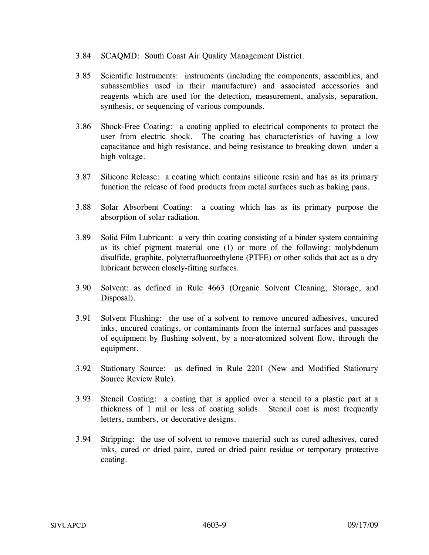- 3.84 SCAQMD: South Coast Air Quality Management District.
- 3.85 Scientific Instruments: instruments (including the components, assemblies, and subassemblies used in their manufacture) and associated accessories and reagents which are used for the detection, measurement, analysis, separation, synthesis, or sequencing of various compounds.
- 3.86 Shock-Free Coating: a coating applied to electrical components to protect the user from electric shock. The coating has characteristics of having a low capacitance and high resistance, and being resistance to breaking down under a high voltage.
- 3.87 Silicone Release: a coating which contains silicone resin and has as its primary function the release of food products from metal surfaces such as baking pans.
- 3.88 Solar Absorbent Coating: a coating which has as its primary purpose the absorption of solar radiation.
- 3.89 Solid Film Lubricant: a very thin coating consisting of a binder system containing as its chief pigment material one (1) or more of the following: molybdenum disulfide, graphite, polytetrafluoroethylene (PTFE) or other solids that act as a dry lubricant between closely-fitting surfaces.
- 3.90 Solvent: as defined in Rule 4663 (Organic Solvent Cleaning, Storage, and Disposal).
- 3.91 Solvent Flushing: the use of a solvent to remove uncured adhesives, uncured inks, uncured coatings, or contaminants from the internal surfaces and passages of equipment by flushing solvent, by a non-atomized solvent flow, through the equipment.
- 3.92 Stationary Source: as defined in Rule 2201 (New and Modified Stationary Source Review Rule).
- 3.93 Stencil Coating: a coating that is applied over a stencil to a plastic part at a thickness of 1 mil or less of coating solids. Stencil coat is most frequently letters, numbers, or decorative designs.
- 3.94 Stripping: the use of solvent to remove material such as cured adhesives, cured inks, cured or dried paint, cured or dried paint residue or temporary protective coating.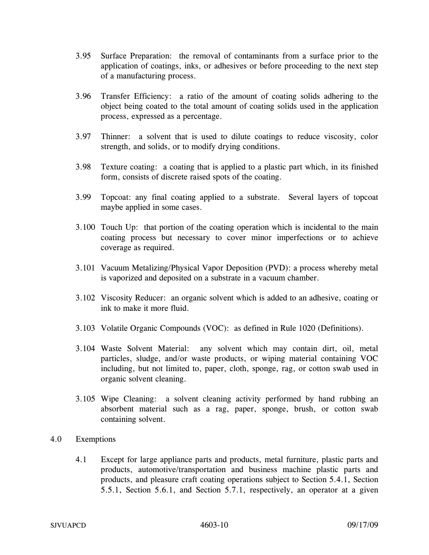- 3.95 Surface Preparation: the removal of contaminants from a surface prior to the application of coatings, inks, or adhesives or before proceeding to the next step of a manufacturing process.
- 3.96 Transfer Efficiency: a ratio of the amount of coating solids adhering to the object being coated to the total amount of coating solids used in the application process, expressed as a percentage.
- 3.97 Thinner: a solvent that is used to dilute coatings to reduce viscosity, color strength, and solids, or to modify drying conditions.
- 3.98 Texture coating: a coating that is applied to a plastic part which, in its finished form, consists of discrete raised spots of the coating.
- 3.99 Topcoat: any final coating applied to a substrate. Several layers of topcoat maybe applied in some cases.
- 3.100 Touch Up: that portion of the coating operation which is incidental to the main coating process but necessary to cover minor imperfections or to achieve coverage as required.
- 3.101 Vacuum Metalizing/Physical Vapor Deposition (PVD): a process whereby metal is vaporized and deposited on a substrate in a vacuum chamber.
- 3.102 Viscosity Reducer: an organic solvent which is added to an adhesive, coating or ink to make it more fluid.
- 3.103 Volatile Organic Compounds (VOC): as defined in Rule 1020 (Definitions).
- 3.104 Waste Solvent Material: any solvent which may contain dirt, oil, metal particles, sludge, and/or waste products, or wiping material containing VOC including, but not limited to, paper, cloth, sponge, rag, or cotton swab used in organic solvent cleaning.
- 3.105 Wipe Cleaning: a solvent cleaning activity performed by hand rubbing an absorbent material such as a rag, paper, sponge, brush, or cotton swab containing solvent.
- 4.0 Exemptions
	- 4.1 Except for large appliance parts and products, metal furniture, plastic parts and products, automotive/transportation and business machine plastic parts and products, and pleasure craft coating operations subject to Section 5.4.1, Section 5.5.1, Section 5.6.1, and Section 5.7.1, respectively, an operator at a given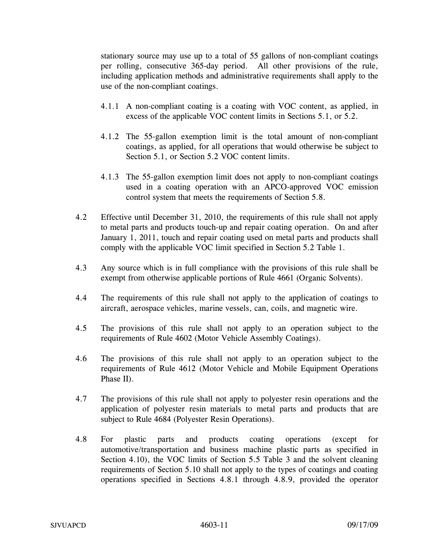stationary source may use up to a total of 55 gallons of non-compliant coatings per rolling, consecutive 365-day period. All other provisions of the rule, including application methods and administrative requirements shall apply to the use of the non-compliant coatings.

- 4.1.1 A non-compliant coating is a coating with VOC content, as applied, in excess of the applicable VOC content limits in Sections 5.1, or 5.2.
- 4.1.2 The 55-gallon exemption limit is the total amount of non-compliant coatings, as applied, for all operations that would otherwise be subject to Section 5.1, or Section 5.2 VOC content limits.
- 4.1.3 The 55-gallon exemption limit does not apply to non-compliant coatings used in a coating operation with an APCO-approved VOC emission control system that meets the requirements of Section 5.8.
- 4.2 Effective until December 31, 2010, the requirements of this rule shall not apply to metal parts and products touch-up and repair coating operation. On and after January 1, 2011, touch and repair coating used on metal parts and products shall comply with the applicable VOC limit specified in Section 5.2 Table 1.
- 4.3 Any source which is in full compliance with the provisions of this rule shall be exempt from otherwise applicable portions of Rule 4661 (Organic Solvents).
- 4.4 The requirements of this rule shall not apply to the application of coatings to aircraft, aerospace vehicles, marine vessels, can, coils, and magnetic wire.
- 4.5 The provisions of this rule shall not apply to an operation subject to the requirements of Rule 4602 (Motor Vehicle Assembly Coatings).
- 4.6 The provisions of this rule shall not apply to an operation subject to the requirements of Rule 4612 (Motor Vehicle and Mobile Equipment Operations Phase II).
- 4.7 The provisions of this rule shall not apply to polyester resin operations and the application of polyester resin materials to metal parts and products that are subject to Rule 4684 (Polyester Resin Operations).
- 4.8 For plastic parts and products coating operations (except for automotive/transportation and business machine plastic parts as specified in Section 4.10), the VOC limits of Section 5.5 Table 3 and the solvent cleaning requirements of Section 5.10 shall not apply to the types of coatings and coating operations specified in Sections 4.8.1 through 4.8.9, provided the operator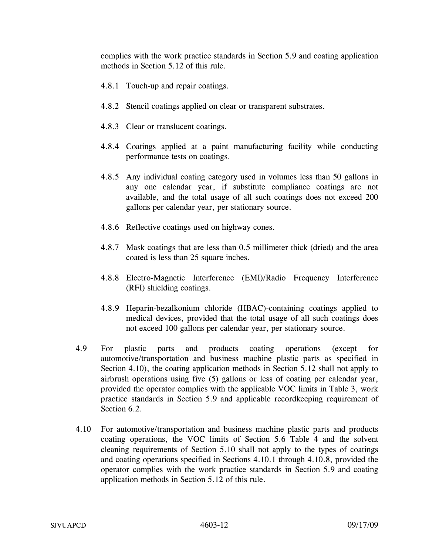complies with the work practice standards in Section 5.9 and coating application methods in Section 5.12 of this rule.

- 4.8.1 Touch-up and repair coatings.
- 4.8.2 Stencil coatings applied on clear or transparent substrates.
- 4.8.3 Clear or translucent coatings.
- 4.8.4 Coatings applied at a paint manufacturing facility while conducting performance tests on coatings.
- 4.8.5 Any individual coating category used in volumes less than 50 gallons in any one calendar year, if substitute compliance coatings are not available, and the total usage of all such coatings does not exceed 200 gallons per calendar year, per stationary source.
- 4.8.6 Reflective coatings used on highway cones.
- 4.8.7 Mask coatings that are less than 0.5 millimeter thick (dried) and the area coated is less than 25 square inches.
- 4.8.8 Electro-Magnetic Interference (EMI)/Radio Frequency Interference (RFI) shielding coatings.
- 4.8.9 Heparin-bezalkonium chloride (HBAC)-containing coatings applied to medical devices, provided that the total usage of all such coatings does not exceed 100 gallons per calendar year, per stationary source.
- 4.9 For plastic parts and products coating operations (except for automotive/transportation and business machine plastic parts as specified in Section 4.10), the coating application methods in Section 5.12 shall not apply to airbrush operations using five (5) gallons or less of coating per calendar year, provided the operator complies with the applicable VOC limits in Table 3, work practice standards in Section 5.9 and applicable recordkeeping requirement of Section 6.2.
- 4.10 For automotive/transportation and business machine plastic parts and products coating operations, the VOC limits of Section 5.6 Table 4 and the solvent cleaning requirements of Section 5.10 shall not apply to the types of coatings and coating operations specified in Sections 4.10.1 through 4.10.8, provided the operator complies with the work practice standards in Section 5.9 and coating application methods in Section 5.12 of this rule.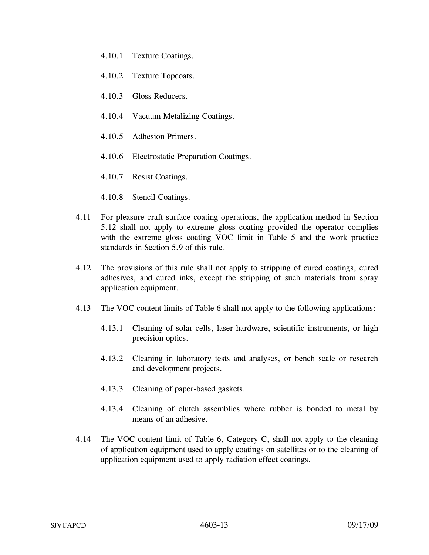- 4.10.1 Texture Coatings.
- 4.10.2 Texture Topcoats.
- 4.10.3 Gloss Reducers.
- 4.10.4 Vacuum Metalizing Coatings.
- 4.10.5 Adhesion Primers.
- 4.10.6 Electrostatic Preparation Coatings.
- 4.10.7 Resist Coatings.
- 4.10.8 Stencil Coatings.
- 4.11 For pleasure craft surface coating operations, the application method in Section 5.12 shall not apply to extreme gloss coating provided the operator complies with the extreme gloss coating VOC limit in Table 5 and the work practice standards in Section 5.9 of this rule.
- 4.12 The provisions of this rule shall not apply to stripping of cured coatings, cured adhesives, and cured inks, except the stripping of such materials from spray application equipment.
- 4.13 The VOC content limits of Table 6 shall not apply to the following applications:
	- 4.13.1 Cleaning of solar cells, laser hardware, scientific instruments, or high precision optics.
	- 4.13.2 Cleaning in laboratory tests and analyses, or bench scale or research and development projects.
	- 4.13.3 Cleaning of paper-based gaskets.
	- 4.13.4 Cleaning of clutch assemblies where rubber is bonded to metal by means of an adhesive.
- 4.14 The VOC content limit of Table 6, Category C, shall not apply to the cleaning of application equipment used to apply coatings on satellites or to the cleaning of application equipment used to apply radiation effect coatings.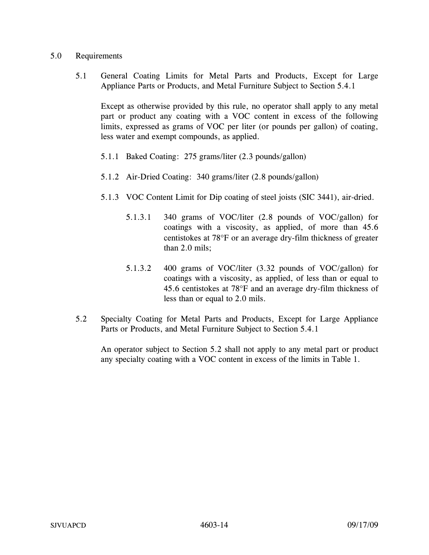### 5.0 Requirements

5.1 General Coating Limits for Metal Parts and Products, Except for Large Appliance Parts or Products, and Metal Furniture Subject to Section 5.4.1

 Except as otherwise provided by this rule, no operator shall apply to any metal part or product any coating with a VOC content in excess of the following limits, expressed as grams of VOC per liter (or pounds per gallon) of coating, less water and exempt compounds, as applied.

- 5.1.1 Baked Coating: 275 grams/liter (2.3 pounds/gallon)
- 5.1.2 Air-Dried Coating: 340 grams/liter (2.8 pounds/gallon)
- 5.1.3 VOC Content Limit for Dip coating of steel joists (SIC 3441), air-dried.
	- 5.1.3.1 340 grams of VOC/liter (2.8 pounds of VOC/gallon) for coatings with a viscosity, as applied, of more than 45.6 centistokes at 78°F or an average dry-film thickness of greater than 2.0 mils;
	- 5.1.3.2 400 grams of VOC/liter (3.32 pounds of VOC/gallon) for coatings with a viscosity, as applied, of less than or equal to 45.6 centistokes at 78°F and an average dry-film thickness of less than or equal to 2.0 mils.
- 5.2 Specialty Coating for Metal Parts and Products, Except for Large Appliance Parts or Products, and Metal Furniture Subject to Section 5.4.1

An operator subject to Section 5.2 shall not apply to any metal part or product any specialty coating with a VOC content in excess of the limits in Table 1.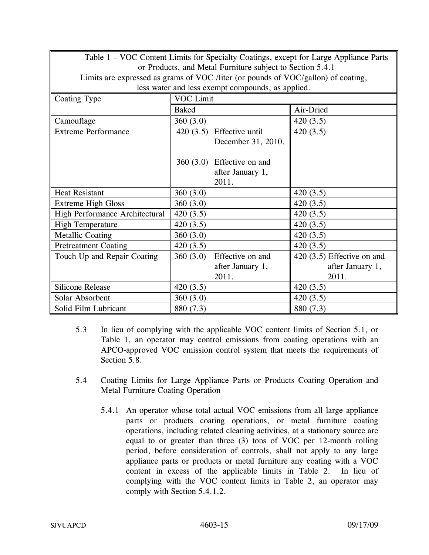| Table 1 – VOC Content Limits for Specialty Coatings, except for Large Appliance Parts |              |                                                           |                             |
|---------------------------------------------------------------------------------------|--------------|-----------------------------------------------------------|-----------------------------|
|                                                                                       |              | or Products, and Metal Furniture subject to Section 5.4.1 |                             |
| Limits are expressed as grams of VOC /liter (or pounds of VOC/gallon) of coating,     |              |                                                           |                             |
|                                                                                       |              | less water and less exempt compounds, as applied.         |                             |
| Coating Type                                                                          | VOC Limit    |                                                           |                             |
|                                                                                       | <b>Baked</b> |                                                           | Air-Dried                   |
| Camouflage                                                                            | 360(3.0)     |                                                           | 420(3.5)                    |
| <b>Extreme Performance</b>                                                            |              | 420 (3.5) Effective until                                 | 420(3.5)                    |
|                                                                                       |              | December 31, 2010.                                        |                             |
|                                                                                       |              |                                                           |                             |
|                                                                                       |              | $360(3.0)$ Effective on and                               |                             |
|                                                                                       |              | after January 1,                                          |                             |
|                                                                                       |              | 2011.                                                     |                             |
| <b>Heat Resistant</b>                                                                 | 360(3.0)     |                                                           | 420(3.5)                    |
| <b>Extreme High Gloss</b>                                                             | 360(3.0)     |                                                           | 420(3.5)                    |
| High Performance Architectural                                                        | 420(3.5)     |                                                           | 420(3.5)                    |
| <b>High Temperature</b>                                                               | 420 $(3.5)$  |                                                           | 420(3.5)                    |
| Metallic Coating                                                                      | 360(3.0)     |                                                           | 420(3.5)                    |
| <b>Pretreatment Coating</b>                                                           | 420 $(3.5)$  |                                                           | 420(3.5)                    |
| Touch Up and Repair Coating                                                           | 360(3.0)     | Effective on and                                          | $420(3.5)$ Effective on and |
|                                                                                       |              | after January 1,                                          | after January 1,            |
|                                                                                       |              | 2011.                                                     | 2011.                       |
| <b>Silicone Release</b>                                                               | 420(3.5)     |                                                           | 420(3.5)                    |
| Solar Absorbent                                                                       | 360(3.0)     |                                                           | 420(3.5)                    |
| Solid Film Lubricant                                                                  | 880 (7.3)    |                                                           | 880 (7.3)                   |

- 5.3 In lieu of complying with the applicable VOC content limits of Section 5.1, or Table 1, an operator may control emissions from coating operations with an APCO-approved VOC emission control system that meets the requirements of Section 5.8.
- 5.4 Coating Limits for Large Appliance Parts or Products Coating Operation and Metal Furniture Coating Operation
	- 5.4.1 An operator whose total actual VOC emissions from all large appliance parts or products coating operations, or metal furniture coating operations, including related cleaning activities, at a stationary source are equal to or greater than three (3) tons of VOC per 12-month rolling period, before consideration of controls, shall not apply to any large appliance parts or products or metal furniture any coating with a VOC content in excess of the applicable limits in Table 2. In lieu of complying with the VOC content limits in Table 2, an operator may comply with Section 5.4.1.2.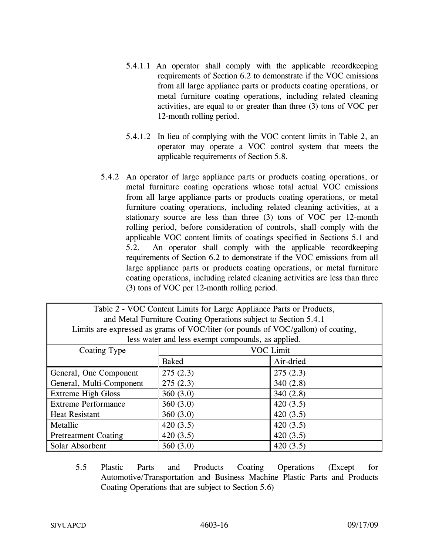- 5.4.1.1 An operator shall comply with the applicable recordkeeping requirements of Section 6.2 to demonstrate if the VOC emissions from all large appliance parts or products coating operations, or metal furniture coating operations, including related cleaning activities, are equal to or greater than three (3) tons of VOC per 12-month rolling period.
- 5.4.1.2 In lieu of complying with the VOC content limits in Table 2, an operator may operate a VOC control system that meets the applicable requirements of Section 5.8.
- 5.4.2 An operator of large appliance parts or products coating operations, or metal furniture coating operations whose total actual VOC emissions from all large appliance parts or products coating operations, or metal furniture coating operations, including related cleaning activities, at a stationary source are less than three (3) tons of VOC per 12-month rolling period, before consideration of controls, shall comply with the applicable VOC content limits of coatings specified in Sections 5.1 and 5.2. An operator shall comply with the applicable recordkeeping requirements of Section 6.2 to demonstrate if the VOC emissions from all large appliance parts or products coating operations, or metal furniture coating operations, including related cleaning activities are less than three (3) tons of VOC per 12-month rolling period.

| Table 2 - VOC Content Limits for Large Appliance Parts or Products,              |                  |           |
|----------------------------------------------------------------------------------|------------------|-----------|
| and Metal Furniture Coating Operations subject to Section 5.4.1                  |                  |           |
| Limits are expressed as grams of VOC/liter (or pounds of VOC/gallon) of coating, |                  |           |
| less water and less exempt compounds, as applied.                                |                  |           |
| Coating Type                                                                     | <b>VOC Limit</b> |           |
|                                                                                  | <b>Baked</b>     | Air-dried |
| General, One Component                                                           | 275(2.3)         | 275(2.3)  |
| General, Multi-Component                                                         | 275(2.3)         | 340(2.8)  |
| <b>Extreme High Gloss</b>                                                        | 360(3.0)         | 340(2.8)  |
| <b>Extreme Performance</b>                                                       | 360(3.0)         | 420(3.5)  |
| <b>Heat Resistant</b>                                                            | 360(3.0)         | 420(3.5)  |
| Metallic                                                                         | 420(3.5)         | 420(3.5)  |
| <b>Pretreatment Coating</b>                                                      | 420(3.5)         | 420(3.5)  |
| Solar Absorbent                                                                  | 360(3.0)         | 420(3.5)  |

5.5 Plastic Parts and Products Coating Operations (Except for Automotive/Transportation and Business Machine Plastic Parts and Products Coating Operations that are subject to Section 5.6)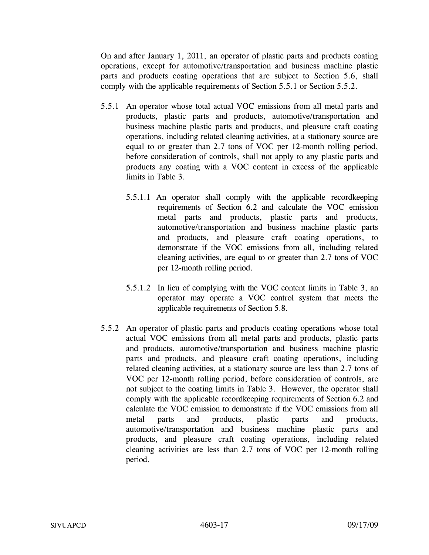On and after January 1, 2011, an operator of plastic parts and products coating operations, except for automotive/transportation and business machine plastic parts and products coating operations that are subject to Section 5.6, shall comply with the applicable requirements of Section 5.5.1 or Section 5.5.2.

- 5.5.1 An operator whose total actual VOC emissions from all metal parts and products, plastic parts and products, automotive/transportation and business machine plastic parts and products, and pleasure craft coating operations, including related cleaning activities, at a stationary source are equal to or greater than 2.7 tons of VOC per 12-month rolling period, before consideration of controls, shall not apply to any plastic parts and products any coating with a VOC content in excess of the applicable limits in Table 3.
	- 5.5.1.1 An operator shall comply with the applicable recordkeeping requirements of Section 6.2 and calculate the VOC emission metal parts and products, plastic parts and products, automotive/transportation and business machine plastic parts and products, and pleasure craft coating operations, to demonstrate if the VOC emissions from all, including related cleaning activities, are equal to or greater than 2.7 tons of VOC per 12-month rolling period.
	- 5.5.1.2 In lieu of complying with the VOC content limits in Table 3, an operator may operate a VOC control system that meets the applicable requirements of Section 5.8.
- 5.5.2 An operator of plastic parts and products coating operations whose total actual VOC emissions from all metal parts and products, plastic parts and products, automotive/transportation and business machine plastic parts and products, and pleasure craft coating operations, including related cleaning activities, at a stationary source are less than 2.7 tons of VOC per 12-month rolling period, before consideration of controls, are not subject to the coating limits in Table 3. However, the operator shall comply with the applicable recordkeeping requirements of Section 6.2 and calculate the VOC emission to demonstrate if the VOC emissions from all metal parts and products, plastic parts and products, automotive/transportation and business machine plastic parts and products, and pleasure craft coating operations, including related cleaning activities are less than 2.7 tons of VOC per 12-month rolling period.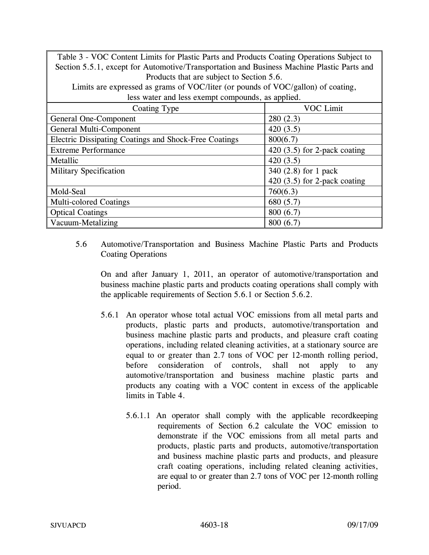Table 3 - VOC Content Limits for Plastic Parts and Products Coating Operations Subject to Section 5.5.1, except for Automotive/Transportation and Business Machine Plastic Parts and Products that are subject to Section 5.6.

Limits are expressed as grams of VOC/liter (or pounds of VOC/gallon) of coating, less water and less exempt compounds, as applied.

|                                                       | . .                            |
|-------------------------------------------------------|--------------------------------|
| Coating Type                                          | VOC Limit                      |
| General One-Component                                 | 280(2.3)                       |
| General Multi-Component                               | 420(3.5)                       |
| Electric Dissipating Coatings and Shock-Free Coatings | 800(6.7)                       |
| <b>Extreme Performance</b>                            | 420 $(3.5)$ for 2-pack coating |
| Metallic                                              | 420(3.5)                       |
| <b>Military Specification</b>                         | 340 (2.8) for 1 pack           |
|                                                       | 420 $(3.5)$ for 2-pack coating |
| Mold-Seal                                             | 760(6.3)                       |
| <b>Multi-colored Coatings</b>                         | 680 (5.7)                      |
| <b>Optical Coatings</b>                               | 800(6.7)                       |
| Vacuum-Metalizing                                     | 800(6.7)                       |

5.6 Automotive/Transportation and Business Machine Plastic Parts and Products Coating Operations

 On and after January 1, 2011, an operator of automotive/transportation and business machine plastic parts and products coating operations shall comply with the applicable requirements of Section 5.6.1 or Section 5.6.2.

- 5.6.1 An operator whose total actual VOC emissions from all metal parts and products, plastic parts and products, automotive/transportation and business machine plastic parts and products, and pleasure craft coating operations, including related cleaning activities, at a stationary source are equal to or greater than 2.7 tons of VOC per 12-month rolling period, before consideration of controls, shall not apply to any automotive/transportation and business machine plastic parts and products any coating with a VOC content in excess of the applicable limits in Table 4.
	- 5.6.1.1 An operator shall comply with the applicable recordkeeping requirements of Section 6.2 calculate the VOC emission to demonstrate if the VOC emissions from all metal parts and products, plastic parts and products, automotive/transportation and business machine plastic parts and products, and pleasure craft coating operations, including related cleaning activities, are equal to or greater than 2.7 tons of VOC per 12-month rolling period.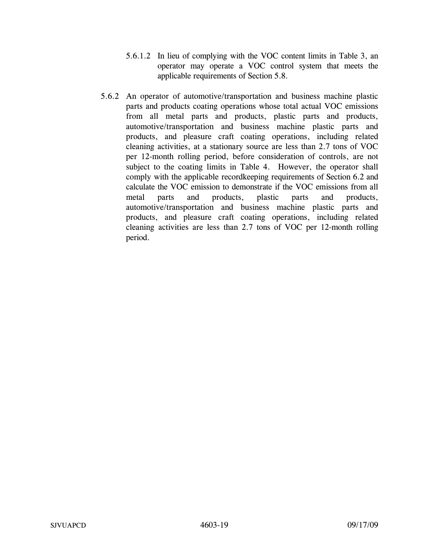- 5.6.1.2 In lieu of complying with the VOC content limits in Table 3, an operator may operate a VOC control system that meets the applicable requirements of Section 5.8.
- 5.6.2 An operator of automotive/transportation and business machine plastic parts and products coating operations whose total actual VOC emissions from all metal parts and products, plastic parts and products, automotive/transportation and business machine plastic parts and products, and pleasure craft coating operations, including related cleaning activities, at a stationary source are less than 2.7 tons of VOC per 12-month rolling period, before consideration of controls, are not subject to the coating limits in Table 4. However, the operator shall comply with the applicable recordkeeping requirements of Section 6.2 and calculate the VOC emission to demonstrate if the VOC emissions from all metal parts and products, plastic parts and products, automotive/transportation and business machine plastic parts and products, and pleasure craft coating operations, including related cleaning activities are less than 2.7 tons of VOC per 12-month rolling period.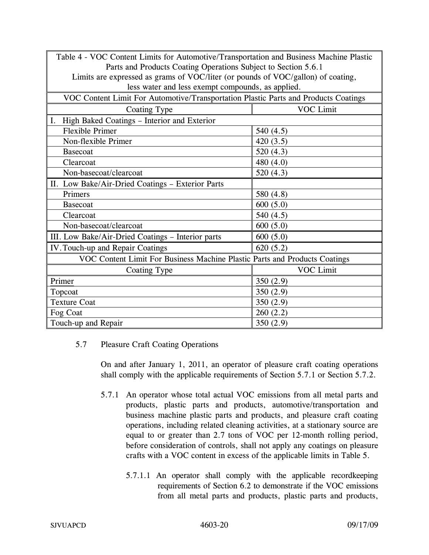| Table 4 - VOC Content Limits for Automotive/Transportation and Business Machine Plastic |             |  |
|-----------------------------------------------------------------------------------------|-------------|--|
| Parts and Products Coating Operations Subject to Section 5.6.1                          |             |  |
| Limits are expressed as grams of VOC/liter (or pounds of VOC/gallon) of coating,        |             |  |
| less water and less exempt compounds, as applied.                                       |             |  |
| VOC Content Limit For Automotive/Transportation Plastic Parts and Products Coatings     |             |  |
| <b>VOC Limit</b><br>Coating Type                                                        |             |  |
| High Baked Coatings - Interior and Exterior<br>I.                                       |             |  |
| <b>Flexible Primer</b>                                                                  | 540 (4.5)   |  |
| Non-flexible Primer                                                                     | 420(3.5)    |  |
| <b>Basecoat</b>                                                                         | 520(4.3)    |  |
| Clearcoat                                                                               | 480 (4.0)   |  |
| Non-basecoat/clearcoat                                                                  | 520(4.3)    |  |
| II. Low Bake/Air-Dried Coatings - Exterior Parts                                        |             |  |
| Primers                                                                                 | 580 (4.8)   |  |
| <b>Basecoat</b>                                                                         | 600(5.0)    |  |
| Clearcoat                                                                               | 540 $(4.5)$ |  |
| Non-basecoat/clearcoat                                                                  | 600(5.0)    |  |
| III. Low Bake/Air-Dried Coatings - Interior parts                                       | 600(5.0)    |  |
| IV. Touch-up and Repair Coatings                                                        | 620(5.2)    |  |
| VOC Content Limit For Business Machine Plastic Parts and Products Coatings              |             |  |
| Coating Type                                                                            | VOC Limit   |  |
| Primer                                                                                  | 350 $(2.9)$ |  |
| Topcoat                                                                                 | 350(2.9)    |  |
| <b>Texture Coat</b>                                                                     | 350(2.9)    |  |
| Fog Coat                                                                                | 260(2.2)    |  |
| Touch-up and Repair                                                                     | 350(2.9)    |  |

## 5.7 Pleasure Craft Coating Operations

 On and after January 1, 2011, an operator of pleasure craft coating operations shall comply with the applicable requirements of Section 5.7.1 or Section 5.7.2.

- 5.7.1 An operator whose total actual VOC emissions from all metal parts and products, plastic parts and products, automotive/transportation and business machine plastic parts and products, and pleasure craft coating operations, including related cleaning activities, at a stationary source are equal to or greater than 2.7 tons of VOC per 12-month rolling period, before consideration of controls, shall not apply any coatings on pleasure crafts with a VOC content in excess of the applicable limits in Table 5.
	- 5.7.1.1 An operator shall comply with the applicable recordkeeping requirements of Section 6.2 to demonstrate if the VOC emissions from all metal parts and products, plastic parts and products,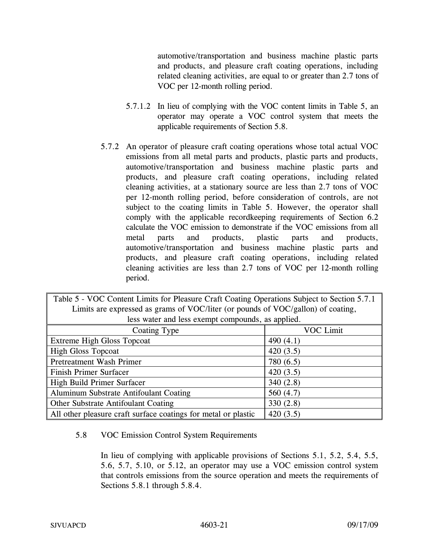automotive/transportation and business machine plastic parts and products, and pleasure craft coating operations, including related cleaning activities, are equal to or greater than 2.7 tons of VOC per 12-month rolling period.

- 5.7.1.2 In lieu of complying with the VOC content limits in Table 5, an operator may operate a VOC control system that meets the applicable requirements of Section 5.8.
- 5.7.2 An operator of pleasure craft coating operations whose total actual VOC emissions from all metal parts and products, plastic parts and products, automotive/transportation and business machine plastic parts and products, and pleasure craft coating operations, including related cleaning activities, at a stationary source are less than 2.7 tons of VOC per 12-month rolling period, before consideration of controls, are not subject to the coating limits in Table 5. However, the operator shall comply with the applicable recordkeeping requirements of Section 6.2 calculate the VOC emission to demonstrate if the VOC emissions from all metal parts and products, plastic parts and products, automotive/transportation and business machine plastic parts and products, and pleasure craft coating operations, including related cleaning activities are less than 2.7 tons of VOC per 12-month rolling period.

| Table 5 - VOC Content Limits for Pleasure Craft Coating Operations Subject to Section 5.7.1 |             |  |
|---------------------------------------------------------------------------------------------|-------------|--|
| Limits are expressed as grams of VOC/liter (or pounds of VOC/gallon) of coating,            |             |  |
| less water and less exempt compounds, as applied.                                           |             |  |
| Coating Type                                                                                | VOC Limit   |  |
| Extreme High Gloss Topcoat                                                                  | 490 $(4.1)$ |  |
| <b>High Gloss Topcoat</b>                                                                   | 420(3.5)    |  |
| Pretreatment Wash Primer                                                                    | 780 (6.5)   |  |
| Finish Primer Surfacer                                                                      | 420(3.5)    |  |
| High Build Primer Surfacer                                                                  | 340(2.8)    |  |
| Aluminum Substrate Antifoulant Coating                                                      | 560 (4.7)   |  |
| <b>Other Substrate Antifoulant Coating</b>                                                  | 330(2.8)    |  |
| All other pleasure craft surface coatings for metal or plastic<br>420(3.5)                  |             |  |

### 5.8 VOC Emission Control System Requirements

In lieu of complying with applicable provisions of Sections 5.1, 5.2, 5.4, 5.5, 5.6, 5.7, 5.10, or 5.12, an operator may use a VOC emission control system that controls emissions from the source operation and meets the requirements of Sections 5.8.1 through 5.8.4.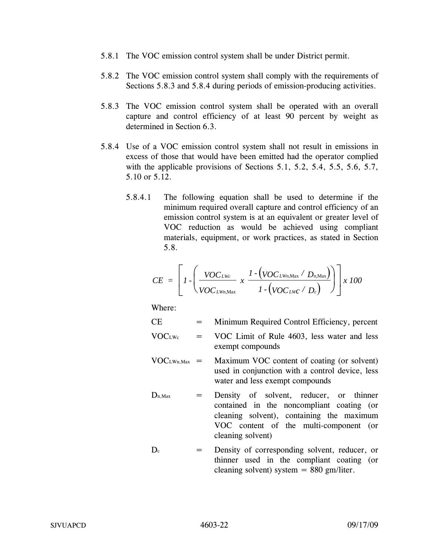- 5.8.1 The VOC emission control system shall be under District permit.
- 5.8.2 The VOC emission control system shall comply with the requirements of Sections 5.8.3 and 5.8.4 during periods of emission-producing activities.
- 5.8.3 The VOC emission control system shall be operated with an overall capture and control efficiency of at least 90 percent by weight as determined in Section 6.3.
- 5.8.4 Use of a VOC emission control system shall not result in emissions in excess of those that would have been emitted had the operator complied with the applicable provisions of Sections 5.1, 5.2, 5.4, 5.5, 5.6, 5.7, 5.10 or 5.12.
	- 5.8.4.1 The following equation shall be used to determine if the minimum required overall capture and control efficiency of an emission control system is at an equivalent or greater level of VOC reduction as would be achieved using compliant materials, equipment, or work practices, as stated in Section 5.8.

$$
CE = \left[1 \cdot \left(\frac{VOC_{LWc}}{VOC_{LWn, \text{Max}}} \times \frac{1 \cdot (VOC_{LWn, \text{Max}} / D_{n, \text{Max}})}{1 \cdot (VOC_{LWc} / D_c)}\right)\right] \times 100
$$

Where:

CE = Minimum Required Control Efficiency, percent

- $VOC<sub>LWe</sub> = VOC Limit of Rule 4603, less water and less$ exempt compounds
- $VOC<sub>LWn,Max</sub>$  = Maximum VOC content of coating (or solvent) used in conjunction with a control device, less water and less exempt compounds
- $D_{n,Max}$  = Density of solvent, reducer, or thinner contained in the noncompliant coating (or cleaning solvent), containing the maximum VOC content of the multi-component (or cleaning solvent)
- $D_c$  = Density of corresponding solvent, reducer, or thinner used in the compliant coating (or cleaning solvent) system  $= 880$  gm/liter.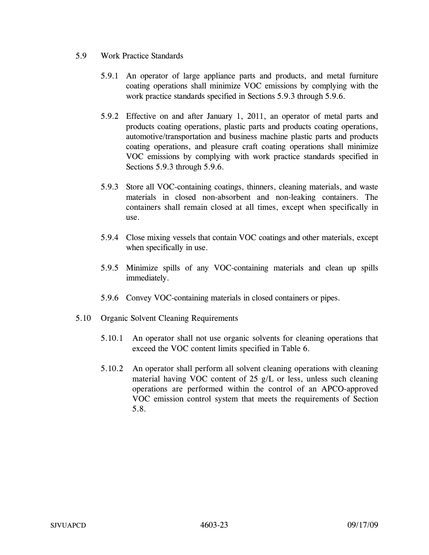- 5.9 Work Practice Standards
	- 5.9.1 An operator of large appliance parts and products, and metal furniture coating operations shall minimize VOC emissions by complying with the work practice standards specified in Sections 5.9.3 through 5.9.6.
	- 5.9.2 Effective on and after January 1, 2011, an operator of metal parts and products coating operations, plastic parts and products coating operations, automotive/transportation and business machine plastic parts and products coating operations, and pleasure craft coating operations shall minimize VOC emissions by complying with work practice standards specified in Sections 5.9.3 through 5.9.6.
	- 5.9.3 Store all VOC-containing coatings, thinners, cleaning materials, and waste materials in closed non-absorbent and non-leaking containers. The containers shall remain closed at all times, except when specifically in use.
	- 5.9.4 Close mixing vessels that contain VOC coatings and other materials, except when specifically in use.
	- 5.9.5 Minimize spills of any VOC-containing materials and clean up spills immediately.
	- 5.9.6 Convey VOC-containing materials in closed containers or pipes.
- 5.10 Organic Solvent Cleaning Requirements
	- 5.10.1 An operator shall not use organic solvents for cleaning operations that exceed the VOC content limits specified in Table 6.
	- 5.10.2 An operator shall perform all solvent cleaning operations with cleaning material having VOC content of 25 g/L or less, unless such cleaning operations are performed within the control of an APCO-approved VOC emission control system that meets the requirements of Section 5.8.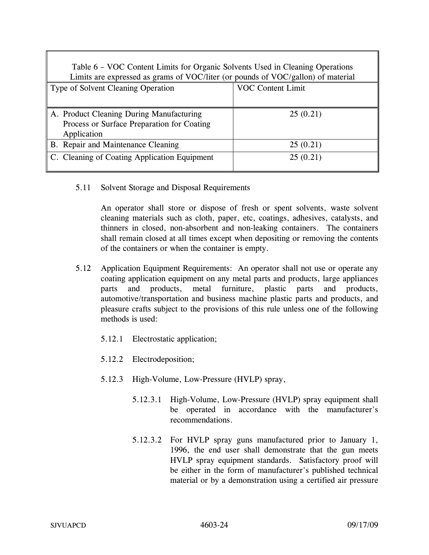| Table 6 - VOC Content Limits for Organic Solvents Used in Cleaning Operations<br>Limits are expressed as grams of VOC/liter (or pounds of VOC/gallon) of material |                          |  |
|-------------------------------------------------------------------------------------------------------------------------------------------------------------------|--------------------------|--|
| Type of Solvent Cleaning Operation                                                                                                                                | <b>VOC Content Limit</b> |  |
|                                                                                                                                                                   |                          |  |
| A. Product Cleaning During Manufacturing                                                                                                                          | 25(0.21)                 |  |
| Process or Surface Preparation for Coating                                                                                                                        |                          |  |
| Application                                                                                                                                                       |                          |  |
| B. Repair and Maintenance Cleaning                                                                                                                                | 25(0.21)                 |  |
| C. Cleaning of Coating Application Equipment                                                                                                                      | 25(0.21)                 |  |

5.11 Solvent Storage and Disposal Requirements

An operator shall store or dispose of fresh or spent solvents, waste solvent cleaning materials such as cloth, paper, etc, coatings, adhesives, catalysts, and thinners in closed, non-absorbent and non-leaking containers. The containers shall remain closed at all times except when depositing or removing the contents of the containers or when the container is empty.

- 5.12 Application Equipment Requirements: An operator shall not use or operate any coating application equipment on any metal parts and products, large appliances parts and products, metal furniture, plastic parts and products, automotive/transportation and business machine plastic parts and products, and pleasure crafts subject to the provisions of this rule unless one of the following methods is used:
	- 5.12.1 Electrostatic application;
	- 5.12.2 Electrodeposition;
	- 5.12.3 High-Volume, Low-Pressure (HVLP) spray,
		- 5.12.3.1 High-Volume, Low-Pressure (HVLP) spray equipment shall be operated in accordance with the manufacturer's recommendations.
		- 5.12.3.2 For HVLP spray guns manufactured prior to January 1, 1996, the end user shall demonstrate that the gun meets HVLP spray equipment standards. Satisfactory proof will be either in the form of manufacturer's published technical material or by a demonstration using a certified air pressure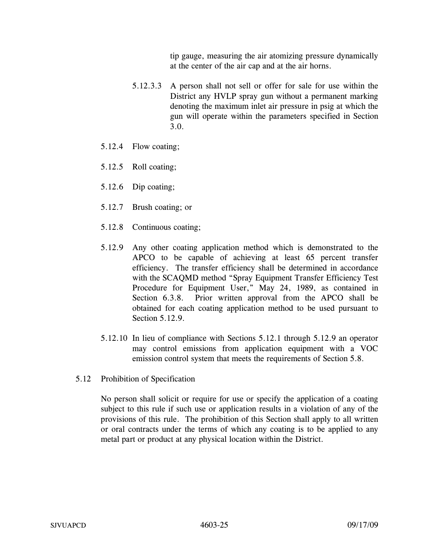tip gauge, measuring the air atomizing pressure dynamically at the center of the air cap and at the air horns.

- 5.12.3.3 A person shall not sell or offer for sale for use within the District any HVLP spray gun without a permanent marking denoting the maximum inlet air pressure in psig at which the gun will operate within the parameters specified in Section 3.0.
- 5.12.4 Flow coating;
- 5.12.5 Roll coating;
- 5.12.6 Dip coating;
- 5.12.7 Brush coating; or
- 5.12.8 Continuous coating;
- 5.12.9 Any other coating application method which is demonstrated to the APCO to be capable of achieving at least 65 percent transfer efficiency. The transfer efficiency shall be determined in accordance with the SCAQMD method "Spray Equipment Transfer Efficiency Test Procedure for Equipment User," May 24, 1989, as contained in Section 6.3.8. Prior written approval from the APCO shall be obtained for each coating application method to be used pursuant to Section 5.12.9.
- 5.12.10 In lieu of compliance with Sections 5.12.1 through 5.12.9 an operator may control emissions from application equipment with a VOC emission control system that meets the requirements of Section 5.8.
- 5.12 Prohibition of Specification

No person shall solicit or require for use or specify the application of a coating subject to this rule if such use or application results in a violation of any of the provisions of this rule. The prohibition of this Section shall apply to all written or oral contracts under the terms of which any coating is to be applied to any metal part or product at any physical location within the District.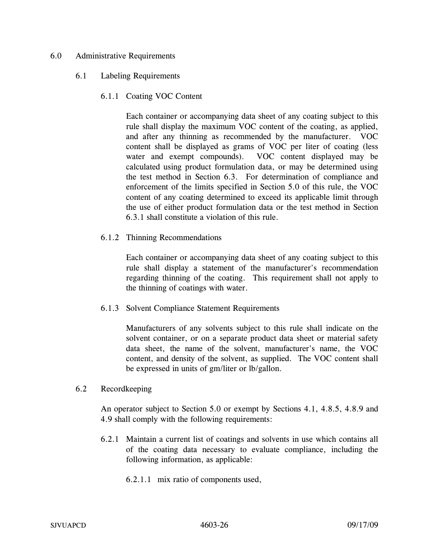### 6.0 Administrative Requirements

#### 6.1 Labeling Requirements

6.1.1 Coating VOC Content

Each container or accompanying data sheet of any coating subject to this rule shall display the maximum VOC content of the coating, as applied, and after any thinning as recommended by the manufacturer. VOC content shall be displayed as grams of VOC per liter of coating (less water and exempt compounds). VOC content displayed may be calculated using product formulation data, or may be determined using the test method in Section 6.3. For determination of compliance and enforcement of the limits specified in Section 5.0 of this rule, the VOC content of any coating determined to exceed its applicable limit through the use of either product formulation data or the test method in Section 6.3.1 shall constitute a violation of this rule.

6.1.2 Thinning Recommendations

Each container or accompanying data sheet of any coating subject to this rule shall display a statement of the manufacturer's recommendation regarding thinning of the coating. This requirement shall not apply to the thinning of coatings with water.

6.1.3 Solvent Compliance Statement Requirements

Manufacturers of any solvents subject to this rule shall indicate on the solvent container, or on a separate product data sheet or material safety data sheet, the name of the solvent, manufacturer's name, the VOC content, and density of the solvent, as supplied. The VOC content shall be expressed in units of gm/liter or lb/gallon.

#### 6.2 Recordkeeping

An operator subject to Section 5.0 or exempt by Sections 4.1, 4.8.5, 4.8.9 and 4.9 shall comply with the following requirements:

- 6.2.1 Maintain a current list of coatings and solvents in use which contains all of the coating data necessary to evaluate compliance, including the following information, as applicable:
	- 6.2.1.1 mix ratio of components used,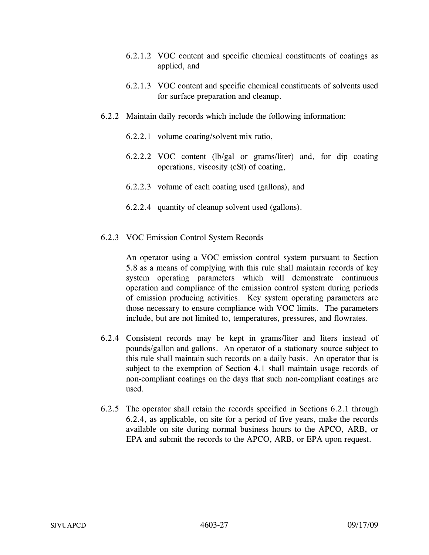- 6.2.1.2 VOC content and specific chemical constituents of coatings as applied, and
- 6.2.1.3 VOC content and specific chemical constituents of solvents used for surface preparation and cleanup.
- 6.2.2 Maintain daily records which include the following information:
	- 6.2.2.1 volume coating/solvent mix ratio,
	- 6.2.2.2 VOC content (lb/gal or grams/liter) and, for dip coating operations, viscosity (cSt) of coating,
	- 6.2.2.3 volume of each coating used (gallons), and
	- 6.2.2.4 quantity of cleanup solvent used (gallons).
- 6.2.3 VOC Emission Control System Records

An operator using a VOC emission control system pursuant to Section 5.8 as a means of complying with this rule shall maintain records of key system operating parameters which will demonstrate continuous operation and compliance of the emission control system during periods of emission producing activities. Key system operating parameters are those necessary to ensure compliance with VOC limits. The parameters include, but are not limited to, temperatures, pressures, and flowrates.

- 6.2.4 Consistent records may be kept in grams/liter and liters instead of pounds/gallon and gallons. An operator of a stationary source subject to this rule shall maintain such records on a daily basis. An operator that is subject to the exemption of Section 4.1 shall maintain usage records of non-compliant coatings on the days that such non-compliant coatings are used.
- 6.2.5 The operator shall retain the records specified in Sections 6.2.1 through 6.2.4, as applicable, on site for a period of five years, make the records available on site during normal business hours to the APCO, ARB, or EPA and submit the records to the APCO, ARB, or EPA upon request.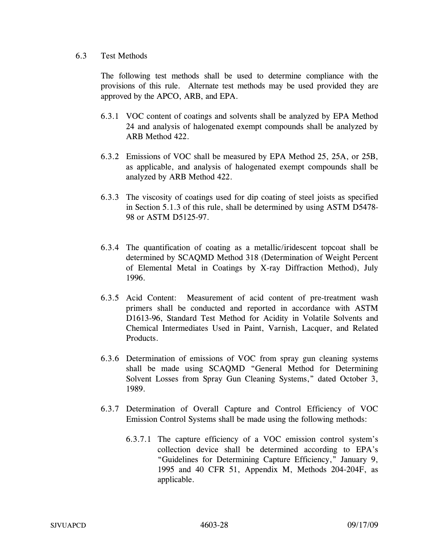### 6.3 Test Methods

The following test methods shall be used to determine compliance with the provisions of this rule. Alternate test methods may be used provided they are approved by the APCO, ARB, and EPA.

- 6.3.1 VOC content of coatings and solvents shall be analyzed by EPA Method 24 and analysis of halogenated exempt compounds shall be analyzed by ARB Method 422.
- 6.3.2 Emissions of VOC shall be measured by EPA Method 25, 25A, or 25B, as applicable, and analysis of halogenated exempt compounds shall be analyzed by ARB Method 422.
- 6.3.3 The viscosity of coatings used for dip coating of steel joists as specified in Section 5.1.3 of this rule, shall be determined by using ASTM D5478- 98 or ASTM D5125-97.
- 6.3.4 The quantification of coating as a metallic/iridescent topcoat shall be determined by SCAQMD Method 318 (Determination of Weight Percent of Elemental Metal in Coatings by X-ray Diffraction Method), July 1996.
- 6.3.5 Acid Content: Measurement of acid content of pre-treatment wash primers shall be conducted and reported in accordance with ASTM D1613-96, Standard Test Method for Acidity in Volatile Solvents and Chemical Intermediates Used in Paint, Varnish, Lacquer, and Related Products.
- 6.3.6 Determination of emissions of VOC from spray gun cleaning systems shall be made using SCAQMD "General Method for Determining Solvent Losses from Spray Gun Cleaning Systems," dated October 3, 1989.
- 6.3.7 Determination of Overall Capture and Control Efficiency of VOC Emission Control Systems shall be made using the following methods:
	- 6.3.7.1 The capture efficiency of a VOC emission control system's collection device shall be determined according to EPA's "Guidelines for Determining Capture Efficiency," January 9, 1995 and 40 CFR 51, Appendix M, Methods 204-204F, as applicable.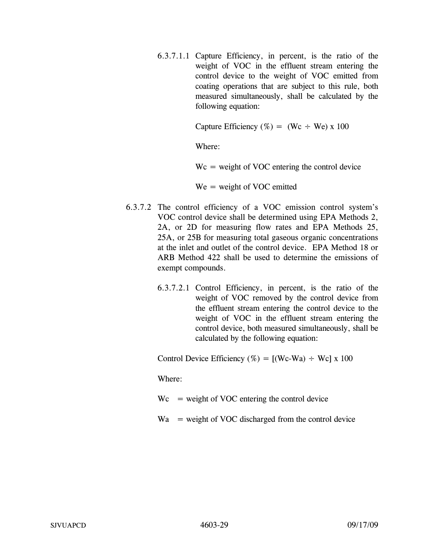6.3.7.1.1 Capture Efficiency, in percent, is the ratio of the weight of VOC in the effluent stream entering the control device to the weight of VOC emitted from coating operations that are subject to this rule, both measured simultaneously, shall be calculated by the following equation:

Capture Efficiency (%) = (Wc  $\div$  We) x 100

Where:

 $Wc$  = weight of VOC entering the control device

We = weight of VOC emitted

- 6.3.7.2 The control efficiency of a VOC emission control system's VOC control device shall be determined using EPA Methods 2, 2A, or 2D for measuring flow rates and EPA Methods 25, 25A, or 25B for measuring total gaseous organic concentrations at the inlet and outlet of the control device. EPA Method 18 or ARB Method 422 shall be used to determine the emissions of exempt compounds.
	- 6.3.7.2.1 Control Efficiency, in percent, is the ratio of the weight of VOC removed by the control device from the effluent stream entering the control device to the weight of VOC in the effluent stream entering the control device, both measured simultaneously, shall be calculated by the following equation:

Control Device Efficiency (%) =  $[(We-Wa) \div We] \times 100$ 

Where:

- $Wc$  = weight of VOC entering the control device
- $Wa$  = weight of VOC discharged from the control device